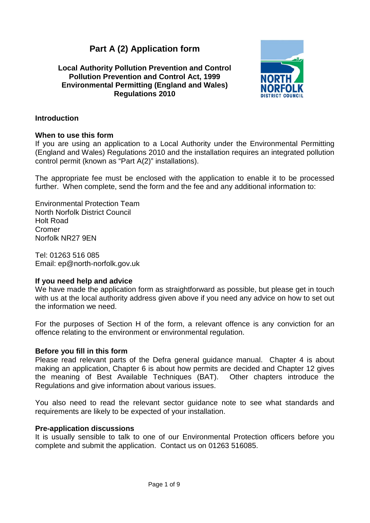# **Part A (2) Application form**

# **Local Authority Pollution Prevention and Control Pollution Prevention and Control Act, 1999 Environmental Permitting (England and Wales) Regulations 2010**



# **Introduction**

# **When to use this form**

If you are using an application to a Local Authority under the Environmental Permitting (England and Wales) Regulations 2010 and the installation requires an integrated pollution control permit (known as "Part A(2)" installations).

The appropriate fee must be enclosed with the application to enable it to be processed further. When complete, send the form and the fee and any additional information to:

Environmental Protection Team North Norfolk District Council Holt Road Cromer Norfolk NR27 9EN

Tel: 01263 516 085 Email: ep@north-norfolk.gov.uk

# **If you need help and advice**

We have made the application form as straightforward as possible, but please get in touch with us at the local authority address given above if you need any advice on how to set out the information we need.

For the purposes of Section H of the form, a relevant offence is any conviction for an offence relating to the environment or environmental regulation.

# **Before you fill in this form**

Please read relevant parts of the Defra general guidance manual. Chapter 4 is about making an application, Chapter 6 is about how permits are decided and Chapter 12 gives the meaning of Best Available Techniques (BAT). Other chapters introduce the Regulations and give information about various issues.

You also need to read the relevant sector guidance note to see what standards and requirements are likely to be expected of your installation.

# **Pre-application discussions**

It is usually sensible to talk to one of our Environmental Protection officers before you complete and submit the application. Contact us on 01263 516085.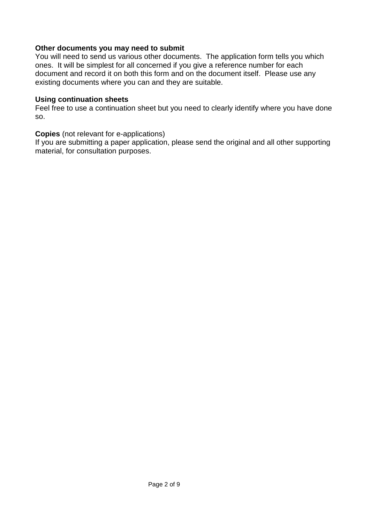# **Other documents you may need to submit**

You will need to send us various other documents. The application form tells you which ones. It will be simplest for all concerned if you give a reference number for each document and record it on both this form and on the document itself. Please use any existing documents where you can and they are suitable.

## **Using continuation sheets**

Feel free to use a continuation sheet but you need to clearly identify where you have done so.

## **Copies** (not relevant for e-applications)

If you are submitting a paper application, please send the original and all other supporting material, for consultation purposes.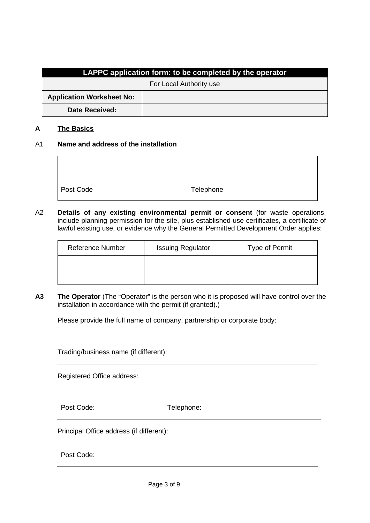| LAPPC application form: to be completed by the operator |  |  |
|---------------------------------------------------------|--|--|
| For Local Authority use                                 |  |  |
| <b>Application Worksheet No:</b>                        |  |  |
| <b>Date Received:</b>                                   |  |  |

#### **A The Basics**

#### A1 **Name and address of the installation**

Post Code Telephone

A2 **Details of any existing environmental permit or consent** (for waste operations, include planning permission for the site, plus established use certificates, a certificate of lawful existing use, or evidence why the General Permitted Development Order applies:

| <b>Reference Number</b> | <b>Issuing Regulator</b> | Type of Permit |
|-------------------------|--------------------------|----------------|
|                         |                          |                |
|                         |                          |                |

**A3 The Operator** (The "Operator" is the person who it is proposed will have control over the installation in accordance with the permit (if granted).)

Please provide the full name of company, partnership or corporate body:

Trading/business name (if different):

Registered Office address:

Post Code: Telephone:

Principal Office address (if different):

Post Code: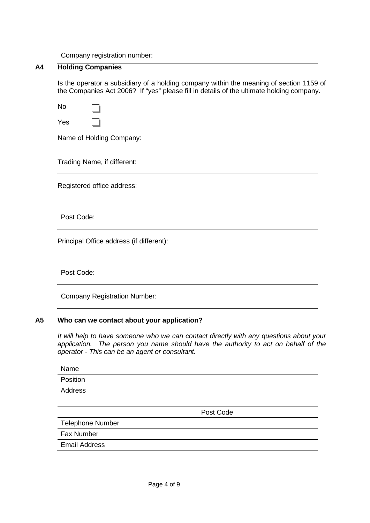Company registration number:

## **A4 Holding Companies**

Is the operator a subsidiary of a holding company within the meaning of section 1159 of the Companies Act 2006? If "yes" please fill in details of the ultimate holding company.

No Yes

Name of Holding Company:

Trading Name, if different:

Registered office address:

Post Code:

Principal Office address (if different):

Post Code:

Company Registration Number:

## **A5 Who can we contact about your application?**

*It will help to have someone who we can contact directly with any questions about your application. The person you name should have the authority to act on behalf of the operator - This can be an agent or consultant.*

Name Position Address

Post Code

Telephone Number

Fax Number

Email Address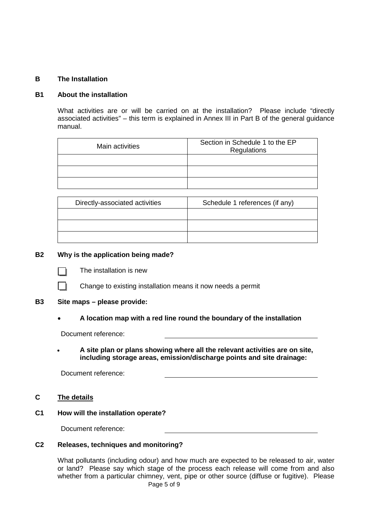## **B The Installation**

## **B1 About the installation**

What activities are or will be carried on at the installation? Please include "directly associated activities" – this term is explained in Annex III in Part B of the general guidance manual.

| Main activities | Section in Schedule 1 to the EP<br>Regulations |
|-----------------|------------------------------------------------|
|                 |                                                |
|                 |                                                |
|                 |                                                |

| Directly-associated activities | Schedule 1 references (if any) |  |
|--------------------------------|--------------------------------|--|
|                                |                                |  |
|                                |                                |  |
|                                |                                |  |

#### **B2 Why is the application being made?**



The installation is new

Change to existing installation means it now needs a permit

#### **B3 Site maps – please provide:**

## • **A location map with a red line round the boundary of the installation**

Document reference:

• **A site plan or plans showing where all the relevant activities are on site, including storage areas, emission/discharge points and site drainage:**

Document reference:

## **C The details**

**C1 How will the installation operate?**

Document reference:

## **C2 Releases, techniques and monitoring?**

What pollutants (including odour) and how much are expected to be released to air, water or land? Please say which stage of the process each release will come from and also whether from a particular chimney, vent, pipe or other source (diffuse or fugitive). Please Page 5 of 9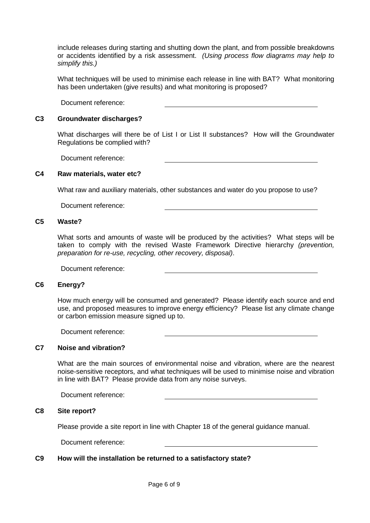include releases during starting and shutting down the plant, and from possible breakdowns or accidents identified by a risk assessment. *(Using process flow diagrams may help to simplify this.)*

What techniques will be used to minimise each release in line with BAT? What monitoring has been undertaken (give results) and what monitoring is proposed?

Document reference:

#### **C3 Groundwater discharges?**

What discharges will there be of List I or List II substances? How will the Groundwater Regulations be complied with?

Document reference:

#### **C4 Raw materials, water etc?**

What raw and auxiliary materials, other substances and water do you propose to use?

Document reference:

#### **C5 Waste?**

What sorts and amounts of waste will be produced by the activities? What steps will be taken to comply with the revised Waste Framework Directive hierarchy *(prevention, preparation for re-use, recycling, other recovery, disposal)*.

Document reference:

#### **C6 Energy?**

How much energy will be consumed and generated? Please identify each source and end use, and proposed measures to improve energy efficiency? Please list any climate change or carbon emission measure signed up to.

Document reference:

#### **C7 Noise and vibration?**

What are the main sources of environmental noise and vibration, where are the nearest noise-sensitive receptors, and what techniques will be used to minimise noise and vibration in line with BAT? Please provide data from any noise surveys.

Document reference:

## **C8 Site report?**

Please provide a site report in line with Chapter 18 of the general guidance manual.

Document reference:

#### **C9 How will the installation be returned to a satisfactory state?**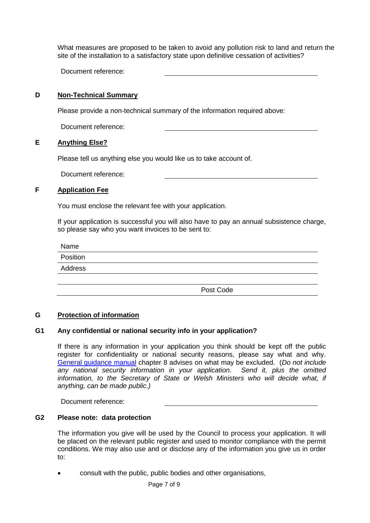What measures are proposed to be taken to avoid any pollution risk to land and return the site of the installation to a satisfactory state upon definitive cessation of activities?

Document reference:

## **D Non-Technical Summary**

Please provide a non-technical summary of the information required above:

Document reference:

## **E Anything Else?**

Please tell us anything else you would like us to take account of.

Document reference:

## **F Application Fee**

You must enclose the relevant fee with your application.

If your application is successful you will also have to pay an annual subsistence charge, so please say who you want invoices to be sent to:

Name

| Position |  |
|----------|--|
| Address  |  |
|          |  |
|          |  |

Post Code

## **G Protection of information**

## **G1 Any confidential or national security info in your application?**

If there is any information in your application you think should be kept off the public register for confidentiality or national security reasons, please say what and why. [General guidance manual](http://www.defra.gov.uk/environment/quality/industrial/las-regulations/guidance/) chapter 8 advises on what may be excluded. (*Do not include any national security information in your application. Send it, plus the omitted*  information, to the Secretary of State or Welsh Ministers who will decide what, if *anything, can be made public.)*

Document reference:

## **G2 Please note: data protection**

The information you give will be used by the Council to process your application. It will be placed on the relevant public register and used to monitor compliance with the permit conditions. We may also use and or disclose any of the information you give us in order to:

• consult with the public, public bodies and other organisations,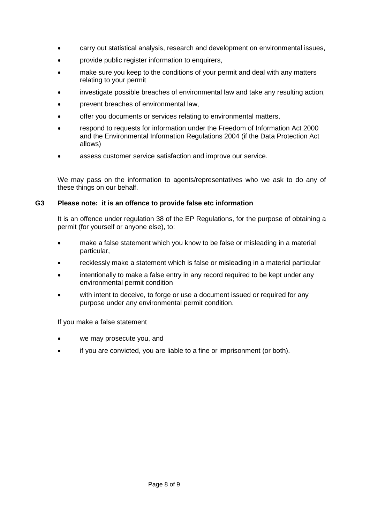- carry out statistical analysis, research and development on environmental issues,
- provide public register information to enquirers,
- make sure you keep to the conditions of your permit and deal with any matters relating to your permit
- investigate possible breaches of environmental law and take any resulting action,
- prevent breaches of environmental law,
- offer you documents or services relating to environmental matters,
- respond to requests for information under the Freedom of Information Act 2000 and the Environmental Information Regulations 2004 (if the Data Protection Act allows)
- assess customer service satisfaction and improve our service.

We may pass on the information to agents/representatives who we ask to do any of these things on our behalf.

## **G3 Please note: it is an offence to provide false etc information**

It is an offence under regulation 38 of the EP Regulations, for the purpose of obtaining a permit (for yourself or anyone else), to:

- make a false statement which you know to be false or misleading in a material particular,
- recklessly make a statement which is false or misleading in a material particular
- intentionally to make a false entry in any record required to be kept under any environmental permit condition
- with intent to deceive, to forge or use a document issued or required for any purpose under any environmental permit condition.

## If you make a false statement

- we may prosecute you, and
- if you are convicted, you are liable to a fine or imprisonment (or both).